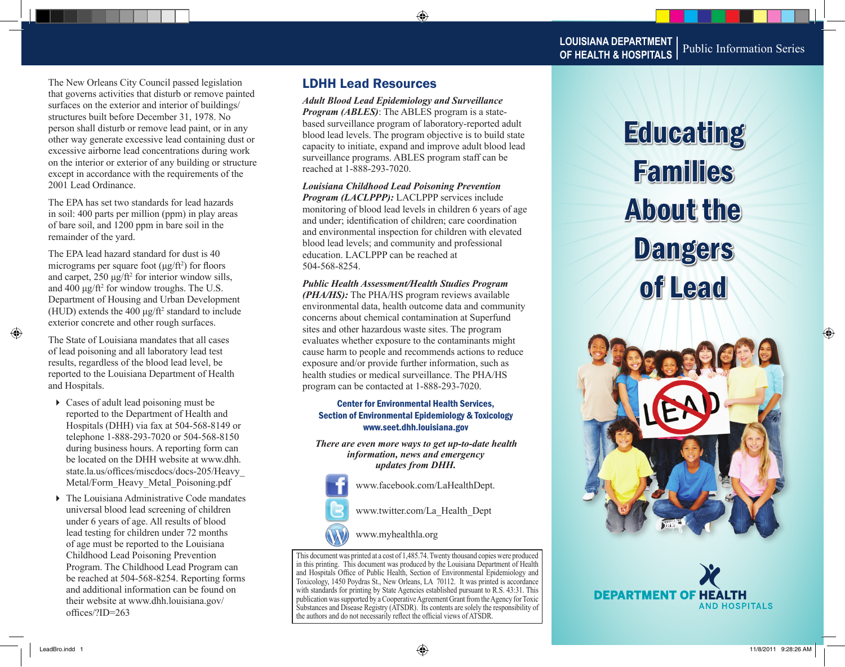The New Orleans City Council passed legislation that governs activities that disturb or remove painted surfaces on the exterior and interior of buildings/ structures built before December 31, 1978. No person shall disturb or remove lead paint, or in any other way generate excessive lead containing dust or excessive airborne lead concentrations during work on the interior or exterior of any building or structure except in accordance with the requirements of the 2001 Lead Ordinance.

The EPA has set two standards for lead hazards in soil: 400 parts per million (ppm) in play areas of bare soil, and 1200 ppm in bare soil in the remainder of the yard.

The EPA lead hazard standard for dust is 40 micrograms per square foot  $(\mu g / ft^2)$  for floors and carpet,  $250 \mu g / \text{ft}^2$  for interior window sills, and 400  $\mu$ g/ft<sup>2</sup> for window troughs. The U.S. Department of Housing and Urban Development (HUD) extends the  $400 \mu g / \text{ft}^2$  standard to include exterior concrete and other rough surfaces.

The State of Louisiana mandates that all cases of lead poisoning and all laboratory lead test results, regardless of the blood lead level, be reported to the Louisiana Department of Health and Hospitals.

- Cases of adult lead poisoning must be reported to the Department of Health and Hospitals (DHH) via fax at 504-568-8149 or telephone 1-888-293-7020 or 504-568-8150 during business hours. A reporting form can be located on the DHH website at www.dhh. state.la.us/offices/miscdocs/docs-205/Heavy\_ Metal/Form\_Heavy\_Metal\_Poisoning.pdf
- ▶ The Louisiana Administrative Code mandates universal blood lead screening of children under 6 years of age. All results of blood lead testing for children under 72 months of age must be reported to the Louisiana Childhood Lead Poisoning Prevention Program. The Childhood Lead Program can be reached at 504-568-8254. Reporting forms and additional information can be found on their website at www.dhh.louisiana.gov/ offices/?ID=263

### LDHH Lead Resources

*Adult Blood Lead Epidemiology and Surveillance Program (ABLES)*: The ABLES program is a statebased surveillance program of laboratory-reported adult blood lead levels. The program objective is to build state capacity to initiate, expand and improve adult blood lead surveillance programs. ABLES program staff can be reached at 1-888-293-7020.

*Louisiana Childhood Lead Poisoning Prevention Program (LACLPPP):* LACLPPP services include monitoring of blood lead levels in children 6 years of age and under; identification of children; care coordination and environmental inspection for children with elevated blood lead levels; and community and professional education. LACLPPP can be reached at 504-568-8254.

#### *Public Health Assessment/Health Studies Program*

*(PHA/HS):* The PHA/HS program reviews available environmental data, health outcome data and community concerns about chemical contamination at Superfund sites and other hazardous waste sites. The program evaluates whether exposure to the contaminants might cause harm to people and recommends actions to reduce exposure and/or provide further information, such as health studies or medical surveillance. The PHA/HS program can be contacted at 1-888-293-7020.

#### Center for Environmental Health Services, Section of Environmental Epidemiology & Toxicology www.seet.dhh.louisiana.gov

*There are even more ways to get up-to-date health information, news and emergency updates from DHH.* 

www.facebook.com/LaHealthDept.

www.twitter.com/La\_Health\_Dept



www.myhealthla.org

This document was printed at a cost of 1,485.74. Twenty thousand copies were produced in this printing. This document was produced by the Louisiana Department of Health and Hospitals Office of Public Health, Section of Environmental Epidemiology and Toxicology, 1450 Poydras St., New Orleans, LA 70112. It was printed is accordance with standards for printing by State Agencies established pursuant to R.S. 43:31. This publication was supported by a Cooperative Agreement Grant from the Agency for Toxic Substances and Disease Registry (ATSDR). Its contents are solely the responsibility of the authors and do not necessarily reflect the official views of ATSDR.

# **Educating** Families About the Dangers of Lead